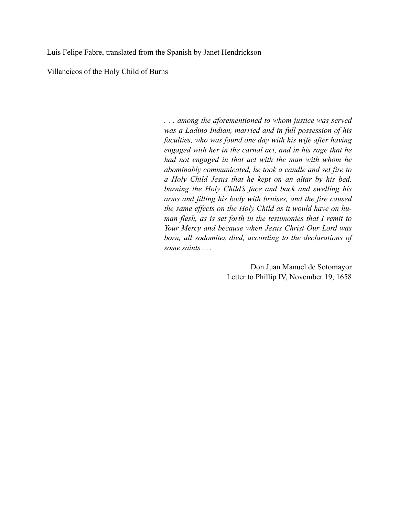Luis Felipe Fabre, translated from the Spanish by Janet Hendrickson

Villancicos of the Holy Child of Burns

*. . . among the aforementioned to whom justice was served was a Ladino Indian, married and in full possession of his faculties, who was found one day with his wife after having engaged with her in the carnal act, and in his rage that he had not engaged in that act with the man with whom he abominably communicated, he took a candle and set fire to a Holy Child Jesus that he kept on an altar by his bed, burning the Holy Child's face and back and swelling his arms and filling his body with bruises, and the fire caused the same effects on the Holy Child as it would have on human flesh, as is set forth in the testimonies that I remit to Your Mercy and because when Jesus Christ Our Lord was born, all sodomites died, according to the declarations of some saints . . .* 

> Don Juan Manuel de Sotomayor Letter to Phillip IV, November 19, 1658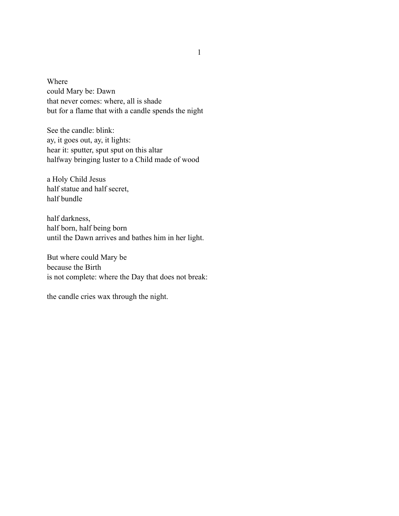Where could Mary be: Dawn that never comes: where, all is shade but for a flame that with a candle spends the night

See the candle: blink: ay, it goes out, ay, it lights: hear it: sputter, sput sput on this altar halfway bringing luster to a Child made of wood

a Holy Child Jesus half statue and half secret, half bundle

half darkness, half born, half being born until the Dawn arrives and bathes him in her light.

But where could Mary be because the Birth is not complete: where the Day that does not break:

the candle cries wax through the night.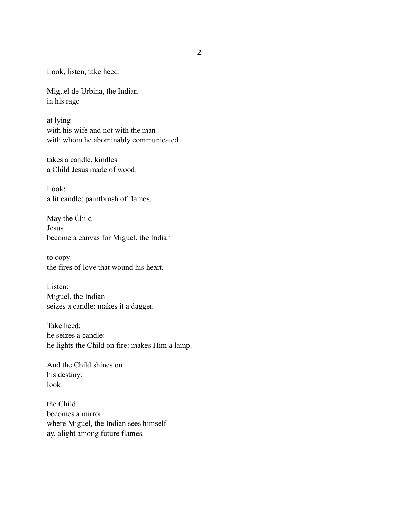Look, listen, take heed:

Miguel de Urbina, the Indian in his rage

at lying with his wife and not with the man with whom he abominably communicated

takes a candle, kindles a Child Jesus made of wood.

Look: a lit candle: paintbrush of flames.

May the Child Jesus become a canvas for Miguel, the Indian

to copy the fires of love that wound his heart.

Listen: Miguel, the Indian seizes a candle: makes it a dagger.

Take heed: he seizes a candle: he lights the Child on fire: makes Him a lamp.

And the Child shines on his destiny: look:

the Child becomes a mirror where Miguel, the Indian sees himself ay, alight among future flames.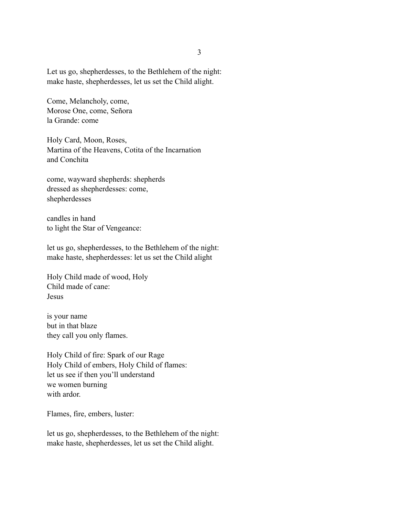Let us go, shepherdesses, to the Bethlehem of the night: make haste, shepherdesses, let us set the Child alight.

Come, Melancholy, come, Morose One, come, Señora la Grande: come

Holy Card, Moon, Roses, Martina of the Heavens, Cotita of the Incarnation and Conchita

come, wayward shepherds: shepherds dressed as shepherdesses: come, shepherdesses

candles in hand to light the Star of Vengeance:

let us go, shepherdesses, to the Bethlehem of the night: make haste, shepherdesses: let us set the Child alight

Holy Child made of wood, Holy Child made of cane: Jesus

is your name but in that blaze they call you only flames.

Holy Child of fire: Spark of our Rage Holy Child of embers, Holy Child of flames: let us see if then you'll understand we women burning with ardor

Flames, fire, embers, luster:

let us go, shepherdesses, to the Bethlehem of the night: make haste, shepherdesses, let us set the Child alight.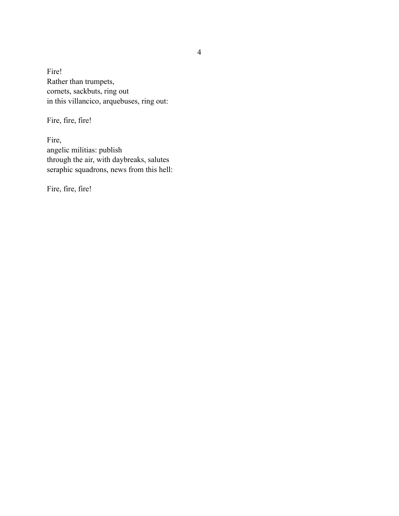Fire! Rather than trumpets, cornets, sackbuts, ring out in this villancico, arquebuses, ring out:

Fire, fire, fire!

Fire, angelic militias: publish through the air, with daybreaks, salutes seraphic squadrons, news from this hell:

Fire, fire, fire!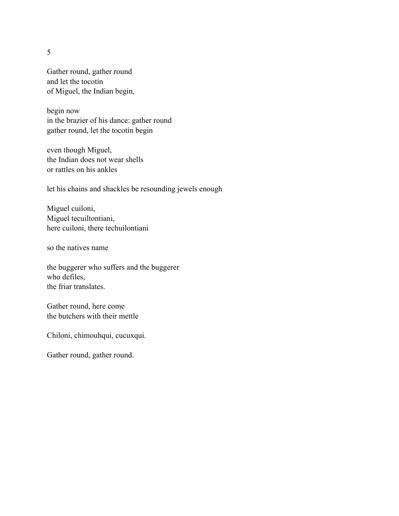5

Gather round, gather round and let the tocotín of Miguel, the Indian begin,

begin now in the brazier of his dance: gather round gather round, let the tocotín begin

even though Miguel, the Indian does not wear shells or rattles on his ankles

let his chains and shackles be resounding jewels enough

Miguel cuiloni, Miguel tecuiltontiani, here cuiloni, there techuilontiani

so the natives name

the buggerer who suffers and the buggerer who defiles, the friar translates.

Gather round, here come the butchers with their mettle

Chiloni, chimouhqui, cucuxqui.

Gather round, gather round.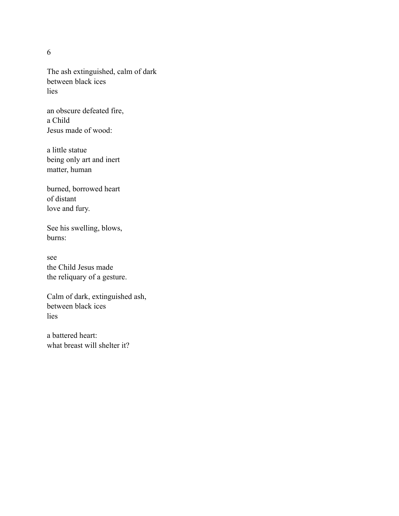6

The ash extinguished, calm of dark between black ices lies

an obscure defeated fire, a Child Jesus made of wood:

a little statue being only art and inert matter, human

burned, borrowed heart of distant love and fury.

See his swelling, blows, burns:

see the Child Jesus made the reliquary of a gesture.

Calm of dark, extinguished ash, between black ices lies

a battered heart: what breast will shelter it?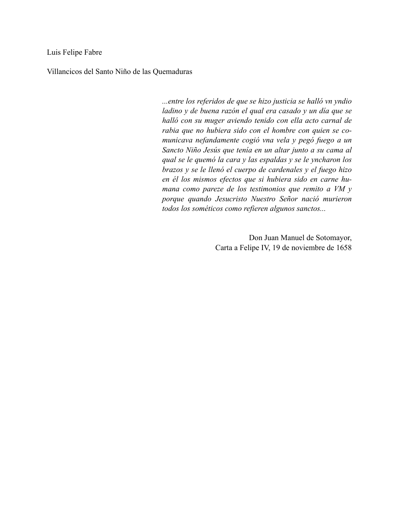Luis Felipe Fabre

Villancicos del Santo Niño de las Quemaduras

*...entre los referidos de que se hizo justicia se halló vn yndio ladino y de buena razón el qual era casado y un día que se halló con su muger aviendo tenido con ella acto carnal de rabia que no hubiera sido con el hombre con quien se comunicava nefandamente cogió vna vela y pegó fuego a un Sancto Niño Jesús que tenía en un altar junto a su cama al qual se le quemó la cara y las espaldas y se le yncharon los brazos y se le llenó el cuerpo de cardenales y el fuego hizo en él los mismos efectos que si hubiera sido en carne humana como pareze de los testimonios que remito a VM y porque quando Jesucristo Nuestro Señor nació murieron todos los sométicos como refieren algunos sanctos...* 

> Don Juan Manuel de Sotomayor, Carta a Felipe IV, 19 de noviembre de 1658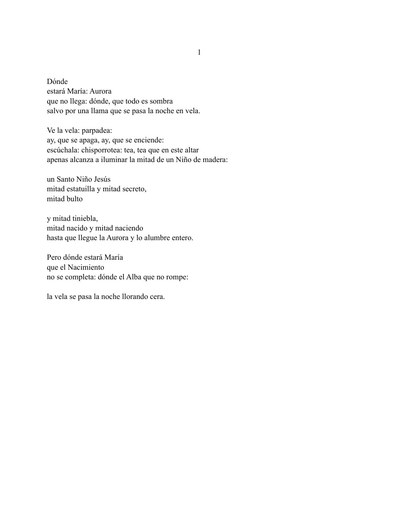Dónde estará María: Aurora que no llega: dónde, que todo es sombra salvo por una llama que se pasa la noche en vela.

Ve la vela: parpadea: ay, que se apaga, ay, que se enciende: escúchala: chisporrotea: tea, tea que en este altar apenas alcanza a iluminar la mitad de un Niño de madera:

un Santo Niño Jesús mitad estatuilla y mitad secreto, mitad bulto

y mitad tiniebla, mitad nacido y mitad naciendo hasta que llegue la Aurora y lo alumbre entero.

Pero dónde estará María que el Nacimiento no se completa: dónde el Alba que no rompe:

la vela se pasa la noche llorando cera.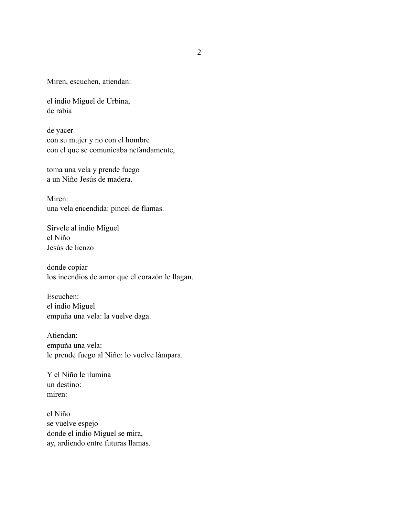Miren, escuchen, atiendan:

el indio Miguel de Urbina, de rabia

de yacer con su mujer y no con el hombre con el que se comunicaba nefandamente,

toma una vela y prende fuego a un Niño Jesús de madera.

Miren: una vela encendida: pincel de flamas.

Sírvele al indio Miguel el Niño Jesús de lienzo

donde copiar los incendios de amor que el corazón le llagan.

Escuchen: el indio Miguel empuña una vela: la vuelve daga.

Atiendan: empuña una vela: le prende fuego al Niño: lo vuelve lámpara.

Y el Niño le ilumina un destino: miren:

el Niño se vuelve espejo donde el indio Miguel se mira, ay, ardiendo entre futuras llamas.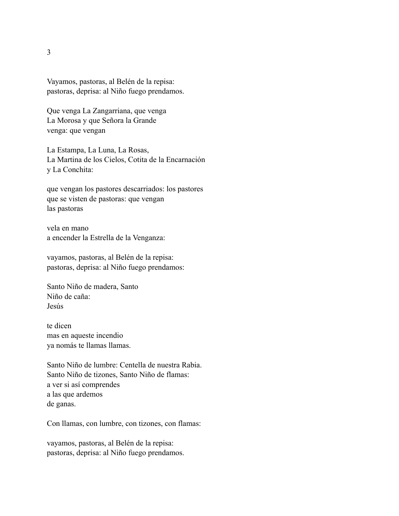Vayamos, pastoras, al Belén de la repisa: pastoras, deprisa: al Niño fuego prendamos.

Que venga La Zangarriana, que venga La Morosa y que Señora la Grande venga: que vengan

La Estampa, La Luna, La Rosas, La Martina de los Cielos, Cotita de la Encarnación y La Conchita:

que vengan los pastores descarriados: los pastores que se visten de pastoras: que vengan las pastoras

vela en mano a encender la Estrella de la Venganza:

vayamos, pastoras, al Belén de la repisa: pastoras, deprisa: al Niño fuego prendamos:

Santo Niño de madera, Santo Niño de caña: Jesús

te dicen mas en aqueste incendio ya nomás te llamas llamas.

Santo Niño de lumbre: Centella de nuestra Rabia. Santo Niño de tizones, Santo Niño de flamas: a ver si así comprendes a las que ardemos de ganas.

Con llamas, con lumbre, con tizones, con flamas:

vayamos, pastoras, al Belén de la repisa: pastoras, deprisa: al Niño fuego prendamos.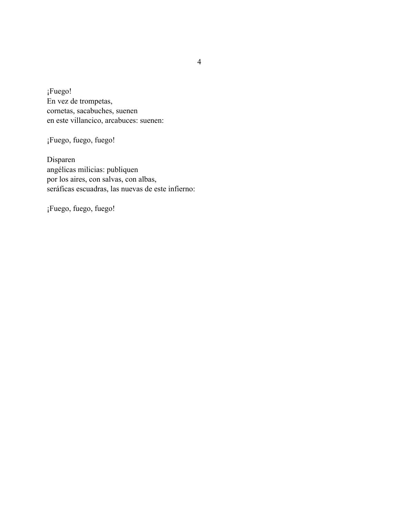¡Fuego! En vez de trompetas, cornetas, sacabuches, suenen en este villancico, arcabuces: suenen:

¡Fuego, fuego, fuego!

Disparen angélicas milicias: publiquen por los aires, con salvas, con albas, seráficas escuadras, las nuevas de este infierno:

¡Fuego, fuego, fuego!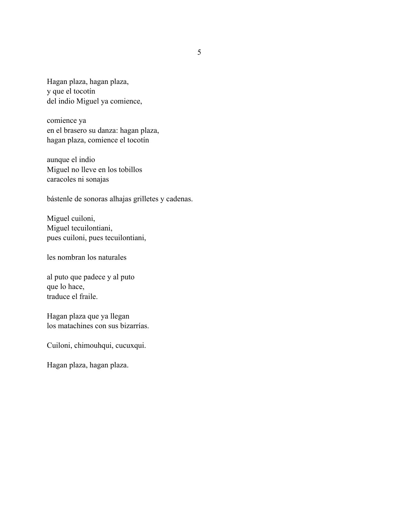Hagan plaza, hagan plaza, y que el tocotín del indio Miguel ya comience,

comience ya en el brasero su danza: hagan plaza, hagan plaza, comience el tocotín

aunque el indio Miguel no lleve en los tobillos caracoles ni sonajas

bástenle de sonoras alhajas grilletes y cadenas.

Miguel cuiloni, Miguel tecuilontiani, pues cuiloni, pues tecuilontiani,

les nombran los naturales

al puto que padece y al puto que lo hace, traduce el fraile.

Hagan plaza que ya llegan los matachines con sus bizarrías.

Cuiloni, chimouhqui, cucuxqui.

Hagan plaza, hagan plaza.